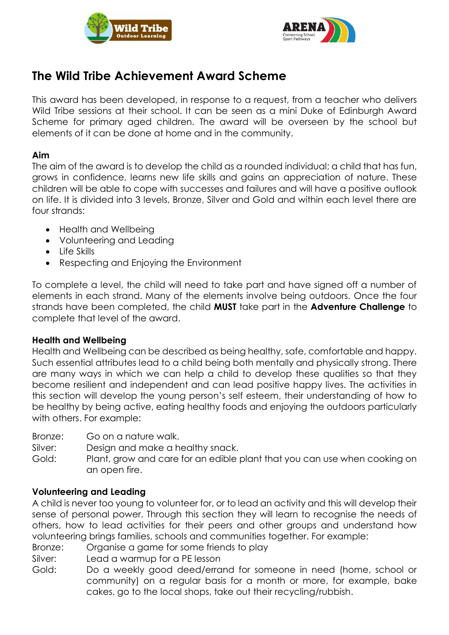



# **The Wild Tribe Achievement Award Scheme**

This award has been developed, in response to a request, from a teacher who delivers Wild Tribe sessions at their school. It can be seen as a mini Duke of Edinburgh Award Scheme for primary aged children. The award will be overseen by the school but elements of it can be done at home and in the community.

# **Aim**

The aim of the award is to develop the child as a rounded individual; a child that has fun, grows in confidence, learns new life skills and gains an appreciation of nature. These children will be able to cope with successes and failures and will have a positive outlook on life. It is divided into 3 levels, Bronze, Silver and Gold and within each level there are four strands:

- Health and Wellbeing
- Volunteering and Leading
- Life Skills
- Respecting and Enjoying the Environment

To complete a level, the child will need to take part and have signed off a number of elements in each strand. Many of the elements involve being outdoors. Once the four strands have been completed, the child **MUST** take part in the **Adventure Challenge** to complete that level of the award.

## **Health and Wellbeing**

Health and Wellbeing can be described as being healthy, safe, comfortable and happy. Such essential attributes lead to a child being both mentally and physically strong. There are many ways in which we can help a child to develop these qualities so that they become resilient and independent and can lead positive happy lives. The activities in this section will develop the young person's self esteem, their understanding of how to be healthy by being active, eating healthy foods and enjoying the outdoors particularly with others. For example:

- Bronze: Go on a nature walk.
- Silver: Design and make a healthy snack.

Gold: Plant, grow and care for an edible plant that you can use when cooking on an open fire.

## **Volunteering and Leading**

A child is never too young to volunteer for, or to lead an activity and this will develop their sense of personal power. Through this section they will learn to recognise the needs of others, how to lead activities for their peers and other groups and understand how volunteering brings families, schools and communities together. For example:

- Bronze: Organise a game for some friends to play
- Silver: Lead a warmup for a PE lesson
- Gold: Do a weekly good deed/errand for someone in need (home, school or community) on a regular basis for a month or more, for example, bake cakes, go to the local shops, take out their recycling/rubbish.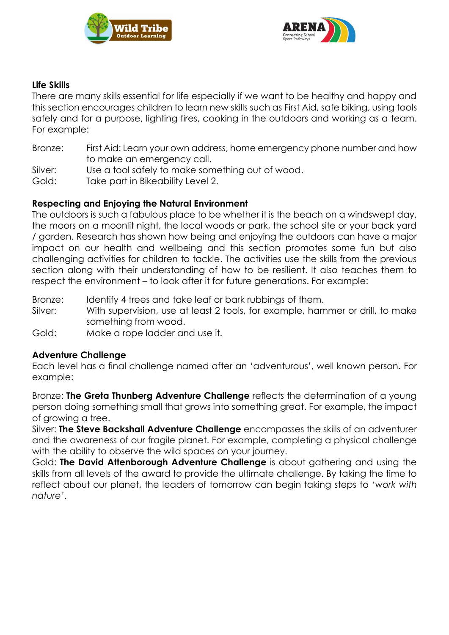



# **Life Skills**

There are many skills essential for life especially if we want to be healthy and happy and this section encourages children to learn new skills such as First Aid, safe biking, using tools safely and for a purpose, lighting fires, cooking in the outdoors and working as a team. For example:

- Bronze: First Aid: Learn your own address, home emergency phone number and how to make an emergency call.
- Silver: Use a tool safely to make something out of wood.
- Gold: Take part in Bikeability Level 2.

# **Respecting and Enjoying the Natural Environment**

The outdoors is such a fabulous place to be whether it is the beach on a windswept day, the moors on a moonlit night, the local woods or park, the school site or your back yard / garden. Research has shown how being and enjoying the outdoors can have a major impact on our health and wellbeing and this section promotes some fun but also challenging activities for children to tackle. The activities use the skills from the previous section along with their understanding of how to be resilient. It also teaches them to respect the environment – to look after it for future generations. For example:

- Bronze: Identify 4 trees and take leaf or bark rubbings of them.
- Silver: With supervision, use at least 2 tools, for example, hammer or drill, to make something from wood.
- Gold: Make a rope ladder and use it.

## **Adventure Challenge**

Each level has a final challenge named after an 'adventurous', well known person. For example:

Bronze: **The Greta Thunberg Adventure Challenge** reflects the determination of a young person doing something small that grows into something great. For example, the impact of growing a tree.

Silver: **The Steve Backshall Adventure Challenge** encompasses the skills of an adventurer and the awareness of our fragile planet. For example, completing a physical challenge with the ability to observe the wild spaces on your journey.

Gold: **The David Attenborough Adventure Challenge** is about gathering and using the skills from all levels of the award to provide the ultimate challenge. By taking the time to reflect about our planet, the leaders of tomorrow can begin taking steps to *'work with nature'*.